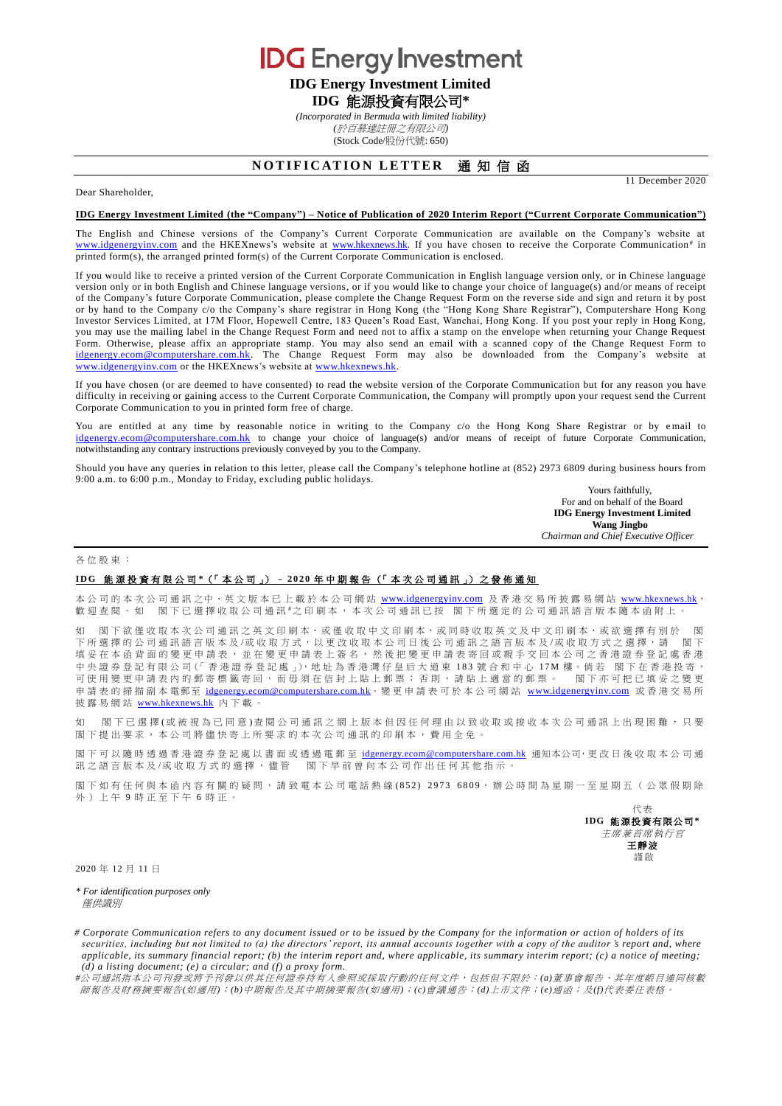**IDG** Energy Investment

# **IDG Energy Investment Limited IDG** 能源投資有限公司**\***

*(Incorporated in Bermuda with limited liability) (*於百慕達註冊之有限公司*)* (Stock Code/股份代號: 650)

## **NOTIFICATION LETTER 通知信函**

Dear Shareholder,

### **IDG Energy Investment Limited (the "Company") – Notice of Publication of 2020 Interim Report ("Current Corporate Communication")**

The English and Chinese versions of the Company's Current Corporate Communication are available on the Company's website at [www.idgenergyinv.com](http://www.idgenergyinv.com/) and the HKEXnews's website at [www.hkexnews.hk.](http://www.hkexnews.hk/) If you have chosen to receive the Corporate Communication<sup>#</sup> in printed form(s), the arranged printed form(s) of the Current Corporate Communication is enclosed.

If you would like to receive a printed version of the Current Corporate Communication in English language version only, or in Chinese language version only or in both English and Chinese language versions, or if you would like to change your choice of language(s) and/or means of receipt of the Company's future Corporate Communication, please complete the Change Request Form on the reverse side and sign and return it by post or by hand to the Company c/o the Company's share registrar in Hong Kong (the "Hong Kong Share Registrar"), Computershare Hong Kong Investor Services Limited, at 17M Floor, Hopewell Centre, 183 Queen's Road East, Wanchai, Hong Kong. If you post your reply in Hong Kong, you may use the mailing label in the Change Request Form and need not to affix a stamp on the envelope when returning your Change Request Form. Otherwise, please affix an appropriate stamp. You may also send an email with a scanned copy of the Change Request Form to [idgenergy.ecom@computershare.com.hk.](mailto:idgenergy.ecom@computershare.com.hk) The Change Request Form may also be downloaded from the Company's website at [www.idgenergyinv.com](http://www.idgenergyinv.com/)</u> or the HKEXnews's website at [www.hkexnews.hk.](http://www.hkexnews.hk/)

If you have chosen (or are deemed to have consented) to read the website version of the Corporate Communication but for any reason you have difficulty in receiving or gaining access to the Current Corporate Communication, the Company will promptly upon your request send the Current Corporate Communication to you in printed form free of charge.

You are entitled at any time by reasonable notice in writing to the Company c/o the Hong Kong Share Registrar or by email to [idgenergy.ecom@computershare.com.hk](mailto:idgenergy.ecom@computershare.com.hk) to change your choice of language(s) and/or means of receipt of future Corporate Communication, notwithstanding any contrary instructions previously conveyed by you to the Company.

Should you have any queries in relation to this letter, please call the Company's telephone hotline at (852) 2973 6809 during business hours from 9:00 a.m. to 6:00 p.m., Monday to Friday, excluding public holidays.

> Yours faithfully, For and on behalf of the Board **IDG Energy Investment Limited Wang Jingbo** *Chairman and Chief Executive Officer*

11 December 2020

#### 各位股東 :

### **I D G** 能 源 投 資 有 限 公 司 **\***(「 本 公 司 」) – **2 0 2 0** 年中期報告 (「 本次公司通訊 」) 之 發 佈 通 知

本公司的本次公司通訊之中、英文版本已上載於本公司網站 [www.idgenergyinv.com](http://www.idgenergyinv.com/) 及香港交易所披露易網站 [www.hkexnews.hk](http://www.hkexnews.hk/), 歡迎查閱。如 閣下已選擇收取公司通訊 "之印刷本,本次公司通訊已按 閣下所選定的公司通訊語言版本隨本函附上。

如 閣下欲僅收取本次公司通訊之英文印刷本、或僅收取中文印刷本,或同時收取英文及中文印刷本,或欲選擇有別於 下所選擇的公司通訊語言版本及/或收取方式,以更改收取本公司日後公司通訊之語言版本及/或收取方式之選擇,請 閣下 填妥 在 本 函 背 面 的 變 更 申 請 表 , 並 在 變 更 申 請 表 上 簽 名 , 然 後 把 變 更 申 請 表 寄 回 或 親 手 交 回 本 公 司 之 香 港 證 券 登 記 處 香 港 中央證券登記有限公司(「香港證券登記處」),地址為香港灣仔皇后大道東 183 號合和中心 17M 樓。倘若 閣下在香港投寄, 可使用變更申請表內的郵寄標籤寄回,而毋須在信封上貼上郵票;否則,請貼上適當的郵票。 閣下亦可把已填妥之變更 申請表 的掃描副本電郵至 [idgenergy.ecom@computershare.com.hk](mailto:idgenergy.ecom@computershare.com.hk)。變更 申請表可於本公司網站 [www.idgenergyinv.com](http://www.idgenergyinv.com/) 或香港交易所 披露易網站 [www.hkexnews.hk](http://www.hkexnews.hk/) 內 下載。

如 閣下已 選 擇 (或 被 視 為 已 同 意 ) 查 閱 公 司 通 訊 之 網 上 版 本 但 因 任 何 理 由 以 致 收 取 或 接 收 本 次 公 司 通 訊 上 出 現 困 難 ,只 要 閣下提出要求,本公司將儘快寄上所要求的本次公司通訊的印刷本,費用全免。

閣下可以隨時透過香港證券登記處以書面或透過電郵至 [idgenergy.ecom@computershare.com.hk](mailto:idgenergy.ecom@computershare.com.hk) 通知本公司,更改日後收取本公司通 訊之語言版本及/或收取方式的選擇,儘管 閣下早前曾向本公司作出任何其他指示。

閣下如 有任何與本 函 内 容 有 關 的 疑 問,請 致 電 本 公 司 電 話 熱 線 (852) 2973 6809,辦 公 時 間 為 星 期 一 至 星 期 五 ( 公 眾 假 期 除 外)上午 9 時正至下午 6 時正。

> 代表 **IDG** 能源投資有限公司**\*** 主席兼首席執行官 王靜波 謹啟

2020 年 12 月 11 日

*\* For identification purposes only* 僅供識別

*# Corporate Communication refers to any document issued or to be issued by the Company for the information or action of holders of its securities, including but not limited to (a) the directors' report, its annual accounts together with a copy of the auditor 's report and, where applicable, its summary financial report; (b) the interim report and, where applicable, its summary interim report; (c) a notice of meeting; (d) a listing document; (e) a circular; and (f) a proxy form.*

*#*公司通訊指本公司刊發或將予刊發以供其任何證券持有人參照或採取行動的任何文件,包括但不限於:*(a)*董事會報告、其年度帳目連同核數 師報告及財務摘要報告*(*如適用*)*;*(b)*中期報告及其中期摘要報告*(*如適用*)*;*(c)*會議通告;*(d)*上市文件;*(e)*通函;及*(f)*代表委任表格。